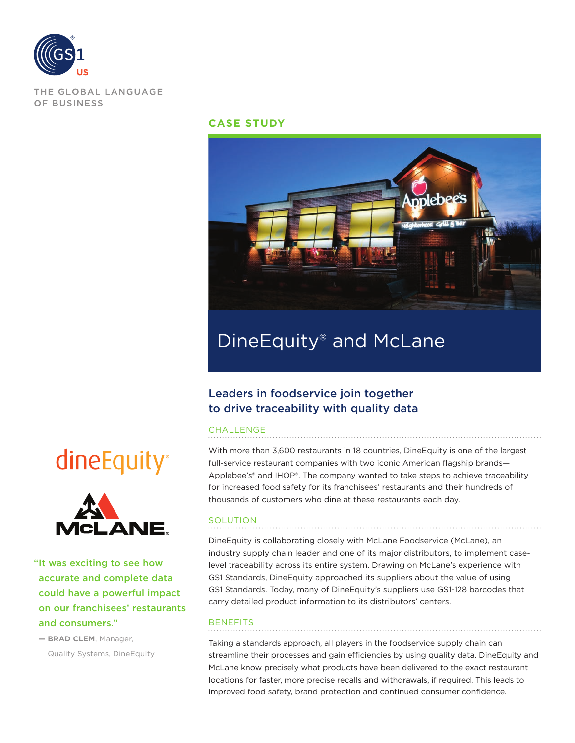

THE GLOBAL LANGUAGE OF BUSINESS

### **CASE STUDY**



# DineEquity® and McLane

## Leaders in foodservice join together to drive traceability with quality data

#### **CHALLENGE**

With more than 3,600 restaurants in 18 countries. DineEquity is one of the largest full-service restaurant companies with two iconic American flagship brands— Applebee's® and IHOP®. The company wanted to take steps to achieve traceability for increased food safety for its franchisees' restaurants and their hundreds of thousands of customers who dine at these restaurants each day.

#### **SOLUTION**

DineEquity is collaborating closely with McLane Foodservice (McLane), an industry supply chain leader and one of its major distributors, to implement caselevel traceability across its entire system. Drawing on McLane's experience with GS1 Standards, DineEquity approached its suppliers about the value of using GS1 Standards. Today, many of DineEquity's suppliers use GS1-128 barcodes that carry detailed product information to its distributors' centers.

#### **BENEFITS**

Taking a standards approach, all players in the foodservice supply chain can streamline their processes and gain efficiencies by using quality data. DineEquity and McLane know precisely what products have been delivered to the exact restaurant locations for faster, more precise recalls and withdrawals, if required. This leads to improved food safety, brand protection and continued consumer confidence.





"It was exciting to see how accurate and complete data could have a powerful impact on our franchisees' restaurants and consumers."

**— BRAD CLEM**, Manager, Quality Systems, DineEquity